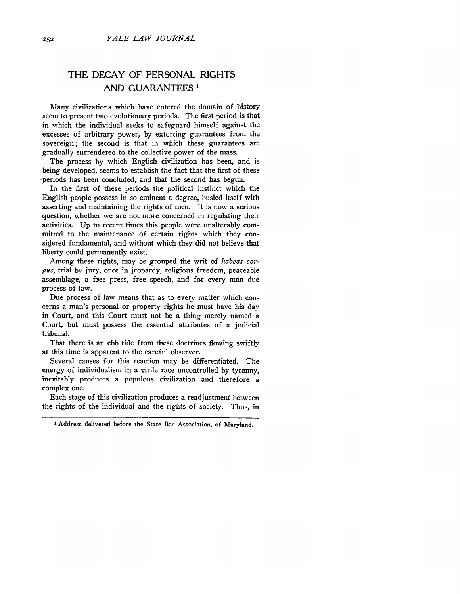## THE **DECAY** OF **PERSONAL** RIGHTS **AND GUARANTEES'**

Many civilizations which have entered the domain of history seem to present two evolutionary periods. The first period is that in which the individual seeks to safeguard himself against the excesses of arbitrary power, by extorting guarantees from the sovereign; the second is that in which these guarantees are gradually surrendered to the collective power of the mass.

The process by which English civilization has been, and is being developed, seems to establish the fact that the first of these -periods has been concluded, and that the second has begun.

In the first of these periods the political instinct which the English people possess in so eminent a degree, busied itself with asserting and maintaining the rights of men. It is now a serious question, whether we are not more concerned in regulating their activities. Up to recent times this people were unalterably committed to the maintenance of certain rights which they considered fundamental, and without which they did not believe that liberty could permanently exist.

Among these rights, may be grouped the writ of *habeas corpus,* trial by jury, once in jeopardy, religious freedom, peaceable assemblage, a free press, free speech, and for every man due process of law.

Due process of law means that as to every matter which concerns a man's personal or property rights he must have his day in Court, and this Court must not be a thing merely named a Court, but must possess the essential attributes of a judicial tribunal.

That there is an ebb tide from these doctrines flowing swiftly at this time is apparent to the careful observer.

Several causes for this reaction may be differentiated. The energy of individualism in a virile race uncontrolled by tyranny, inevitably produces a populous civilization and therefore a complex one.

Each stage of this civilization produces a readjustment between the rights of the individual and the rights of society. Thus, in

<sup>&#</sup>x27; Address delivered before the State Bar Association, of Maryland.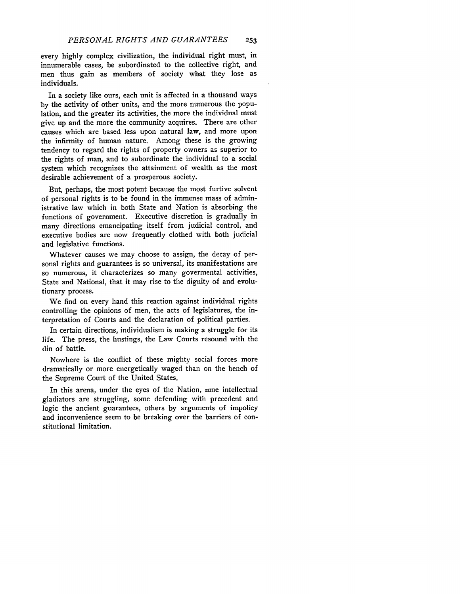every **highly** complex civilization, the individual right must, in innumerable cases, be subordinated to the collective right, and men thus gain as members of society what they lose as individuals.

In a society like ours, each unit is affected in a thousand ways **by** the activity of other units, and the more numerous the population, and the greater its activities, the more the individual must give up and the more the community acquires. There are other causes which are based less upon natural law, and more upon the infirmity of human nature. Among these is the growing tendency to regard the rights of property owners as superior to the rights of man, and to subordinate the individual to a social system which recognizes the attainment of wealth as the most desirable achievement of a prosperous society.

But, perhaps, the most potent because the most furtive solvent of personal rights is to be found in the immense mass of administrative law which in both State and Nation is absorbing the functions of government. Executive discretion is gradually in many directions emancipating itself from judicial control, and executive bodies are now frequently clothed with both judicial and legislative functions.

Whatever causes we may choose to assign, the decay of personal rights and guarantees is so universal, its manifestations are so numerous, it characterizes so many govermental activities, State and National, that it may rise to the dignity of and evolutionary process.

We find on every hand this reaction against individual rights controlling the opinions of men, the acts of legislatures, the interpretation of Courts and the declaration of political parties.

In certain directions, individualism is making a struggle for its life. The press, the hustings, the Lav Courts resound with the din of battle.

Nowhere is the conflict of these mighty social forces more dramatically or more energetically waged than on the bench of the Supreme Court of the United States.

In this arena, under the eyes of the Nation, mne intellectual gladiators are struggling, some defending with precedent and logic the ancient guarantees, others **by** arguments of impolicy and inconvenience seem to be breaking over the barriers of constitutional limitation.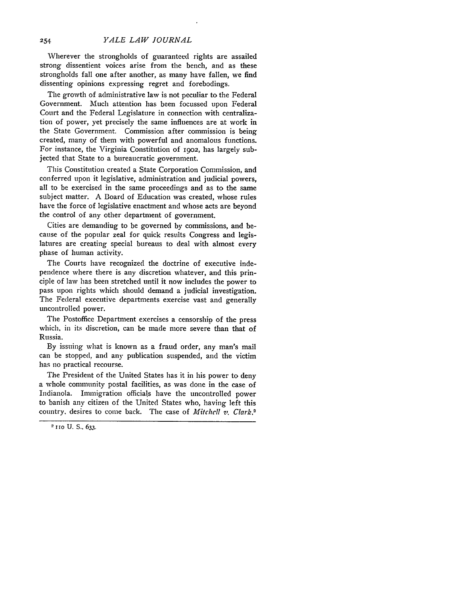Wherever the strongholds of guaranteed rights are assailed strong dissentient voices arise from the bench, and as these strongholds fall one after another, as many have fallen, we find dissenting opinions expressing regret and forebodings.

The growth of administrative law is not peculiar to the Federal Government. Much attention has been focussed upon Federal Court and the Federal Legislature in connection with centralization of power, yet precisely the same influences are at work in the State Government. Commission after commission is being created, many of them with powerful and anomalous functions. For instance, the Virginia Constitution of i9o2, has largely subjected that State to a bureaucratic government.

This Constitution created a State Corporation Commission, and conferred upon it legislative, administration and judicial powers, all to be exercised in the same proceedings and as to the same subject matter. A Board of Education was created, whose rules have the force of legislative enactment and whose acts are beyond the control of any other department of government.

Cities are demanding to be governed by commissions, and because of the popular zeal for quick results Congress and legislatures are creating special bureaus to deal with almost every phase of human activity.

The Courts have recognized the doctrine of executive independence where there is any discretion whatever, and this principle of law has been stretched until it now includes the power to pass upon rights which should demand a judicial investigation. The Federal executive departments exercise vast and generally uncontrolled power.

The Postoffice Department exercises a censorship of the press which, in its discretion, can be made more severe than that of Russia.

By issuing what is known as a fraud order, any man's mail can be stopped, and any publication suspended, and the victim has no practical recourse.

The President of the United States has it in his power to deny a whole community postal facilities, as was done in the case of Indianola. Immigration officials have the uncontrolled power to banish any citizen of the United States who, having left this country. desires to come back. The case of *Mitchell 7'. Clark.2*

**<sup>2</sup> 1** U. S.. *633.*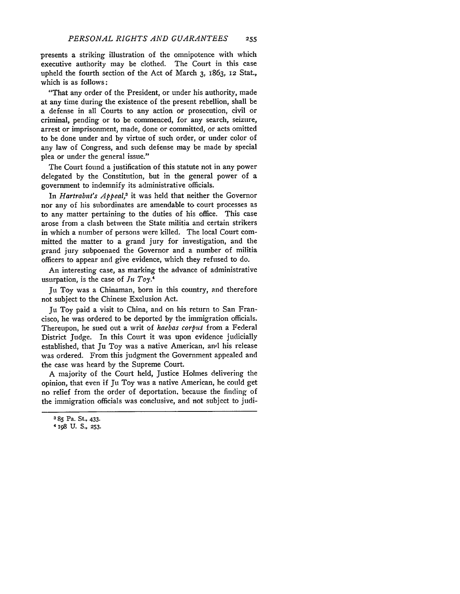presents a striking illustration of the omnipotence with which executive authority may be clothed. The Court in this case upheld the fourth section of the Act of March 3, 1863, *12* Stat., which is as follows:

"That any order of the President, or under his authority, made at any time during the existence of the present rebellion, shall be a defense in all Courts to any action or prosecution, civil or criminal, pending or to be commenced, for any search, seizure, arrest or imprisonment, made, done or committed, or acts omitted to be done under and by virtue of such order, or under color of any law of Congress, and such defense may be made by special plea or under the general issue."

The Court found a justification of this statute not in any power delegated by the Constitution, but in the general power of a government to indemnify its administrative officials.

In *Hartrabnt's Appeal*,<sup>3</sup> it was held that neither the Governor nor any of his subordinates are amendable to court processes as to any matter pertaining to the duties of his office. This case arose from a clash between the State militia and certain strikers in which a number of persons were killed. The local Court committed the matter to a grand jury for investigation, and the grand jury subpoenaed the Governor and a number of militia officers to appear and give evidence, which they refused to do.

An interesting case, as marking the advance of administrative usurpation, is the case of *Ju Toy.4*

Ju Toy was a Chinaman, born in this country, and therefore not subject to the Chinese Exclusion Act.

Ju Toy paid a visit to China, and on his return to San Francisco, he was ordered to be deported by the immigration officials. Thereupon, he sued out a writ of *haebas corpus* from a Federal District Judge. In this Court it was upon evidence judicially established, that Ju Toy was a native American, and his release was ordered. From this judgment the Government appealed and the case was heard by the Supreme Court.

A majority of the Court held, Justice Holmes delivering the opinion, that even if Ju Toy was a native American, he could get no relief from the order of deportation, because the finding of the immigration officials was conclusive, and not subject to judi-

**<sup>3 85</sup>** Pa. St., 433.

<sup>4</sup> **i98 U. S., 253.**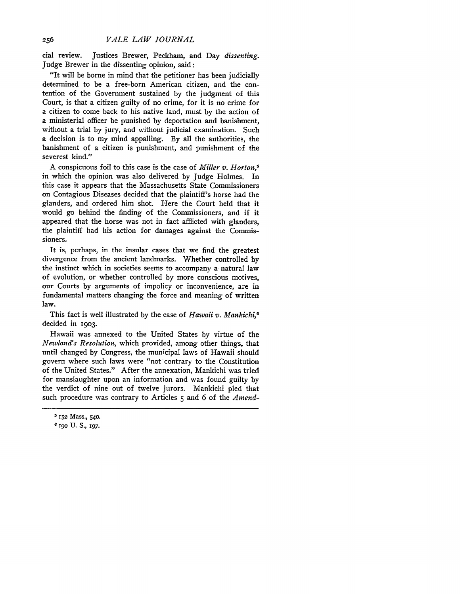*YALE LAW JOURNAL*

cial review. Justices Brewer, Peckham, and Day *dissenting.* Judge Brewer in the dissenting opinion, said:

"It will be borne in mind that the petitioner has been judicially determined to be a free-born American citizen, and the contention of the Government sustained **by** the judgment of this Court, is that a citizen guilty of no crime, for it is no crime for a citizen to come back to his native land, must **by** the action of a ministerial officer be punished **by** deportation and banishment, without a trial **by** jury, and without judicial examination. Such a decision is to my mind appalling. **By** all the authorities, the banishment of a citizen is punishment, and punishment of the severest kind."

A conspicuous foil to this case is the case of *Miller v. Horton,5* in which the opinion was also delivered **by** Judge Holmes. In this case it appears that the Massachusetts State Commissioners on Contagious Diseases decided that the plaintiff's horse had the glanders, and ordered him shot. Here the Court held that it would go behind the finding of the Commissioners, and if it appeared that the horse was not in fact afflicted with glanders, the plaintiff had his action for damages against the Commissioners.

It is, perhaps, in the insular cases that we find the greatest divergence from the ancient landmarks. Whether controlled **by** the instinct which in societies seems to accompany a natural law of evolution, or whether controlled **by** more conscious motives, our Courts by arguments of impolicy or inconvenience, are in fundamental matters changing the force and meaning of written law.

This fact is well illustrated **by** the case of *Hawaii v. Mankichi,6* decided in **1903.**

Hawaii was annexed to the United States **by** virtue of the *Newland's Resolution,* which provided, among other things, that until changed **by** Congress, the municipal laws of Hawaii should govern where such laws were "not-contrary to the Constitution of the United States." After the annexation, Mankichi was tried for manslaughter upon an information and was found guilty **by** the verdict of nine out of twelve jurors. Mankichi pled that such procedure was contrary to Articles 5 and 6 of the *Amend-*

*<sup>5</sup>* **152** Mass., **540.**

**a 190 U. S., 197.**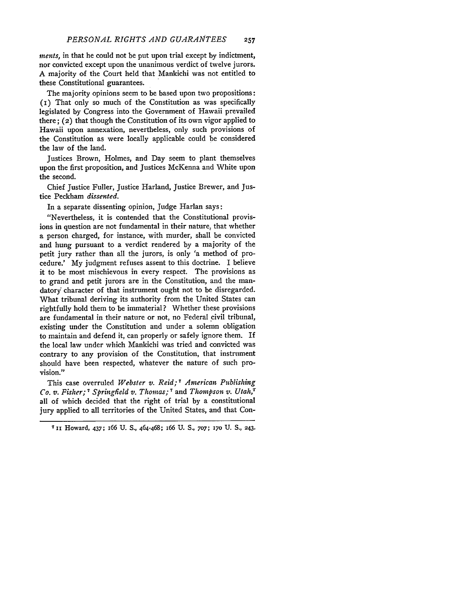*ments*, in that he could not be put upon trial except by indictment. nor convicted except upon the unanimous verdict of twelve jurors. **A** majority of the Court held that Mankichi was not entitled to these Constitutional guarantees.

The majority opinions seem to be based upon two propositions: (i) That only so much of the Constitution as was specifically legislated by Congress into the Government of Hawaii prevailed there; **(2)** that though the Constitution of its own vigor applied to Hawaii upon annexation, nevertheless, only such provisions of the Constitution as were locally applicable could be considered the law of the land.

Justices Brown, Holmes, and Day seem to plant themselves upon the first proposition, and Justices McKenna and White upon the second.

Chief Justice Fuller, Justice Harland, Justice Brewer, and Justice Peckham *dissented.*

In a separate dissenting opinion, Judge Harlan says:

"Nevertheless, it is contended that the Constitutional provisions in question are not fundamental in their nature, that whether a person charged, for instance, with murder, shall be convicted and hung pursuant to a verdict rendered by a majority of the petit jury rather than all the jurors, is only 'a method of procedure.' My judgment refuses assent to this doctrine. I believe it to be most mischievous in every respect. The provisions as to grand and petit jurors are in the Constitution, and the mandatory character of that instrument ought not to be disregarded. What tribunal deriving its authority from the United States can rightfully hold them to be immaterial? Whether these provisions are fundamental in their nature or not, no Federal civil tribunal, existing under the Constitution and under a solemn obligation to maintain and defend it, can properly or safely ignore them. If the local law under which Mankicbi was tried and convicted was contrary to any provision of the Constitution, that instrument should have been respected, whatever the nature of such provision."

This case overruled *Webster v. Reid; 7 American Publishing Co. v. Fisher; 7 Springfield v. Thomas; 7* and *Thompson v. Utah,T* all of which decided that the right of trial by a constitutional jury applied to all territories of the United States, and that Con-

**<sup>&#</sup>x27; ii** Howard, 437; i66 U. S., 464-468; 166 U. S., *707;* **170** U. S., 243.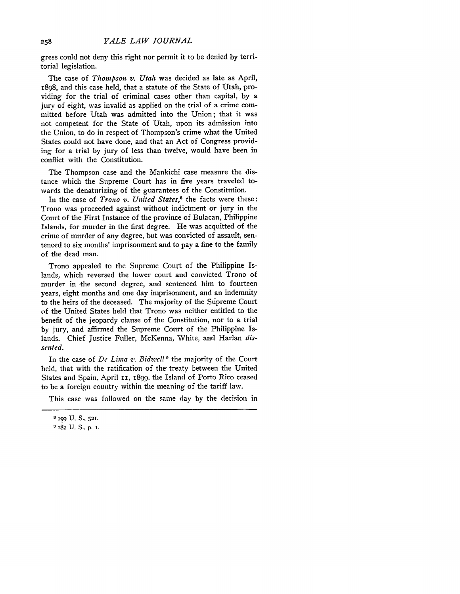gress could not deny this right nor permit it to be denied by territorial legislation.

The case of *Thompson v. Utah* was decided as late as April, 1898, and this case held, that a statute of the State of Utah, providing for the trial of criminal cases other than capital, by a jury of eight, was invalid as applied on the trial of a crime committed before Utah was admitted into the Union; that it was not competent for the State of Utah, upon its admission into the Union, to do in respect of Thompson's crime what the United States could not have done, and that an Act of Congress providing for a trial by jury of less than twelve, would have been in conflict with the Constitution.

The Thompson case and the Mankichi case measure the distance which the Supreme Court has in five years traveled towards the denaturizing of the guarantees of the Constitution.

In the case of *Trono v. United States*,<sup>8</sup> the facts were these: Trono was proceeded against without indictment or jury in the Court of the First Instance of the province of Bulacan, Philippine Islands. for murder in the first degree. He was acquitted of the crime of murder of any degree, but was convicted of assault, sentenced to six months' imprisonment and to pay a fine to the family of the dead man.

Trono appealed to the Supreme Court of the Philippine Islands, which reversed the lower court and convicted Trono of murder in the second degree, and sentenced him to fourteen years, eight months and one day imprisonment, and an indemnity to the heirs of the deceased. The majority of the Supreme Court of the United States held that Trono was neither entitled to the benefit of the jeopardy clause of the Constitution, nor to a trial by jury, and affirmed the Supreme Court of the Philippine Islands. Chief Justice Fuller, McKenna, White, and Harlan *dissented.*

In the case of *De Lina v. Bidwell '* the majority of the Court held, that with the ratification of the treaty between the United States and Spain, April 11, 1899, the Island of Porto Rico ceased to be a foreign country within the meaning of the tariff law.

This case was followed on the same day by the decision in

258

**<sup>8</sup>I99 U. S.. 52T.**

**<sup>1</sup> 182** U. S.. p. **i.**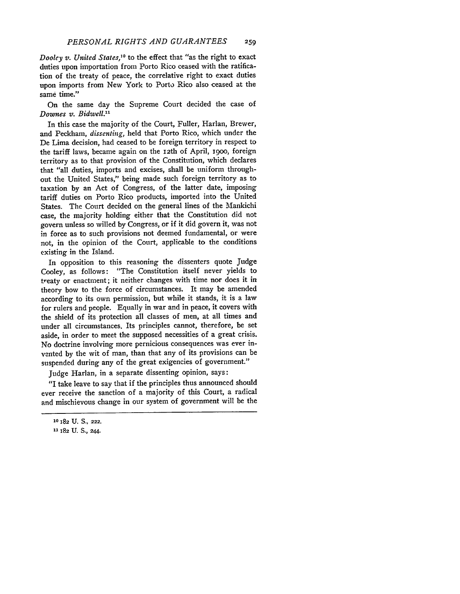*Dooley v. United States,"0* to the effect that "as the right to exact duties upon importation from Porto Rico ceased with the ratification of the treaty of peace, the correlative right to exact duties upon imports from New York to Porto Rico also ceased at the same time."

On the same day the Supreme Court decided the case of *Downes v. Bidwell."*

In this case the majority of the Court, Fuller, Harlan, Brewer, and Peckham, *dissenting,* held that Porto Rico, which under the De Lima decision, had ceased to be foreign territory in respect to the tariff laws, became again on the 12th of April, I9oo, foreign territory as to that provision of the Constitution, which declares that "all duties, imports and excises, shall be uniform throughout the United States," being made such foreign territory as to taxation by an Act of Congress, of the latter date, imposing tariff duties on Porto Rico products, imported into the United States. The Court decided on the general lines of the Mankichi case, the majority holding either that the Constitution did not govern unless so willed by Congress, or if it did govern it, was not in force as to such provisions not deemed fundamental, or were not, in the opinion of the Court, applicable to the conditions existing in the Island.

In opposition to this reasoning the dissenters quote Judge Cooley, as follows: "The Constitution itself never yields to treaty or enactment; it neither changes with time nor does it in theory bow to the force of circumstances. It may be amended according to its own permission, but while it stands, it is a law for rulers and people. Equally in war and in peace, it covers with the shield of its protection all classes of men, at all times and under all circumstances. Its principles cannot, therefore, be set aside, in order to meet the supposed necessities of a great crisis. No doctrine involving more pernicious consequences was ever invented by the wit of man, than that any of its provisions can be suspended during any of the great exigencies of government."

Judge Harlan, in a separate dissenting opinion, says:

"I take leave to say that if the principles thus announced should ever receive the sanction of a majority of this Court, a radical and mischievous change in our system of government will be the

**<sup>10 182</sup> U. S., 222.**

**<sup>21</sup> 182 U. S.,** 244.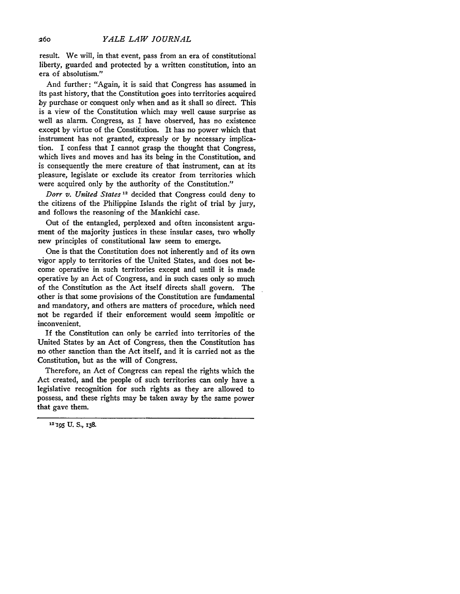result. We will, in that event, pass from an era of constitutional liberty, guarded and protected by a written constitution, into an era of absolutism."

And further: "Again, it is said that Congress has assumed in its past history, that the Constitution goes into territories acquired **by** purchase or conquest only when and as it shall so direct. This is a view of the Constitution which may well cause surprise as well as alarm. Congress, as I have observed, has no existence except **by** virtue of the Constitution. It has no power which that instrument has not granted, expressly or **by** necessary implication. I confess that I cannot grasp the thought that Congress, which lives and moves and has its being in the Constitution, and is consequently the mere creature of that instrument, can at its pleasure, legislate or exclude its creator from territories which were acquired only **by** the authority of the Constitution."

*Dorr v. United States "I* decided that Congress could deny to the citizens of the Philippine Islands the right of trial by jury, and follows the reasoning of the Mankichi case.

Out of the entangled, perplexed and often inconsistent argument of the majority justices in these insular cases, two wholly new principles of constitutional law seem to emerge.

One is that the Constitution does not inherently and of its own vigor apply to territories of the United States, and does not become operative in such territories except and until it is made operative by an Act of Congress, and in such cases only so much of the Constitution as the Act itself directs shall govern. The other is that some provisions of the Constitution are fundamental and mandatory, and others are matters of procedure, which need not be regarded if their enforcement would seem impolitic or inconvenient.

If the Constitution can only be carried into territories of the United States by an Act of Congress, then the Constitution has no other sanction than the Act itself, and it is carried not as the Constitution, but as the will of Congress.

Therefore, an Act of Congress can repeal the rights which the Act created, and the people of such territories can only have a legislative recognition for such rights as they are allowed to possess, and these rights may be taken away by the same power that gave them.

**<sup>127</sup>J95 U. S., 138.**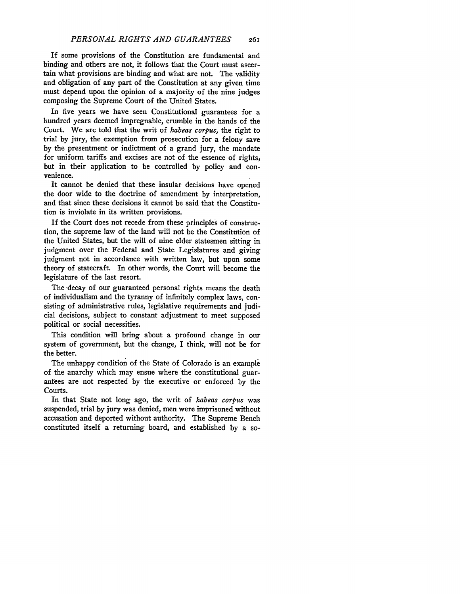If some provisions of the Constitution are fundamental and binding and others are not, it follows that the Court must ascertain what provisions are binding and what are not. The validity and obligation of any part of the Constitution at any given time must depend upon the opinion of a majority of the nine judges composing the Supreme Court of the United States.

In five years we have seen Constitutional guarantees for a hundred years deemed impregnable, crumble in the hands of the Court. We are told that the writ of *habeas corpus,* the right to trial by jury, the exemption from prosecution for a felony save by the presentment or indictment of a grand jury, the mandate for uniform tariffs and excises are not of the essence of rights; but in their application to be controlled by policy and convenience.

It cannot be denied that these insular decisions have opened the door wide to the doctrine of amendment by interpretation, and that since these decisions it cannot be said that the Constitution is inviolate in its written provisions.

If the Court does not recede from these principles of construction, the supreme law of the land will not be the Constitution of the United States, but the will of nine elder statesmen sitting in judgment over the Federal and State Legislatures and giving judgment not in accordance with written law, but upon some theory of statecraft. In other words, the Court will become the legislature of the last resort.

The-decay of our guaranteed personal rights means the death of individualism and the tyranny of infinitely complex laws, consisting of administrative rules, legislative requirements and judicial decisions, subject to constant adjustment to meet supposed political or social necessities.

This condition will bring about a profound change in our system of government, but the change, I think, will not be for the better.

The unhappy condition of the State of Colorado is an example of the anarchy which may ensue where the constitutional guarantees are not respected by the executive or enforced by the Courts.

In that State not long ago, the writ of *habeas corpus* was suspended, trial by jury was denied, men were imprisoned without accusation and deported without authority. The Supreme Bench constituted itself a returning board, and established by a so